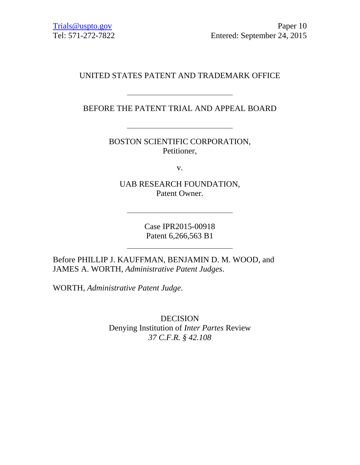# UNITED STATES PATENT AND TRADEMARK OFFICE

BEFORE THE PATENT TRIAL AND APPEAL BOARD

BOSTON SCIENTIFIC CORPORATION, Petitioner,

v.

UAB RESEARCH FOUNDATION, Patent Owner.

> Case IPR2015-00918 Patent 6,266,563 B1

Before PHILLIP J. KAUFFMAN, BENJAMIN D. M. WOOD, and JAMES A. WORTH, *Administrative Patent Judges*.

WORTH, *Administrative Patent Judge*.

DECISION Denying Institution of *Inter Partes* Review *37 C.F.R. § 42.108*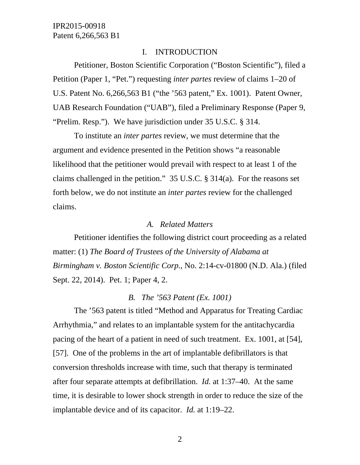#### I. INTRODUCTION

Petitioner, Boston Scientific Corporation ("Boston Scientific"), filed a Petition (Paper 1, "Pet.") requesting *inter partes* review of claims 1–20 of U.S. Patent No. 6,266,563 B1 ("the '563 patent," Ex. 1001). Patent Owner, UAB Research Foundation ("UAB"), filed a Preliminary Response (Paper 9, "Prelim. Resp."). We have jurisdiction under 35 U.S.C. § 314.

To institute an *inter partes* review, we must determine that the argument and evidence presented in the Petition shows "a reasonable likelihood that the petitioner would prevail with respect to at least 1 of the claims challenged in the petition." 35 U.S.C. § 314(a). For the reasons set forth below, we do not institute an *inter partes* review for the challenged claims.

#### *A. Related Matters*

Petitioner identifies the following district court proceeding as a related matter: (1) *The Board of Trustees of the University of Alabama at Birmingham v. Boston Scientific Corp.*, No. 2:14-cv-01800 (N.D. Ala.) (filed Sept. 22, 2014). Pet. 1; Paper 4, 2.

### *B. The '563 Patent (Ex. 1001)*

The '563 patent is titled "Method and Apparatus for Treating Cardiac Arrhythmia," and relates to an implantable system for the antitachycardia pacing of the heart of a patient in need of such treatment. Ex. 1001, at [54], [57]. One of the problems in the art of implantable defibrillators is that conversion thresholds increase with time, such that therapy is terminated after four separate attempts at defibrillation. *Id.* at 1:37–40. At the same time, it is desirable to lower shock strength in order to reduce the size of the implantable device and of its capacitor. *Id.* at 1:19–22.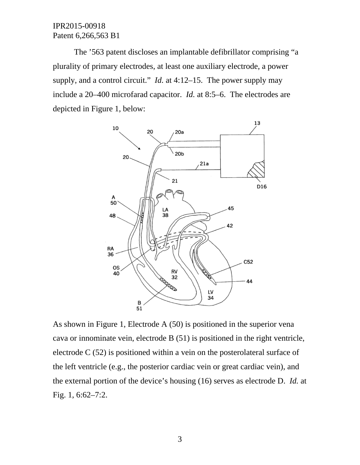The '563 patent discloses an implantable defibrillator comprising "a plurality of primary electrodes, at least one auxiliary electrode, a power supply, and a control circuit." *Id.* at 4:12–15. The power supply may include a 20–400 microfarad capacitor. *Id.* at 8:5–6. The electrodes are depicted in Figure 1, below:



As shown in Figure 1, Electrode A (50) is positioned in the superior vena cava or innominate vein, electrode B (51) is positioned in the right ventricle, electrode C (52) is positioned within a vein on the posterolateral surface of the left ventricle (e.g., the posterior cardiac vein or great cardiac vein), and the external portion of the device's housing (16) serves as electrode D. *Id.* at Fig. 1, 6:62–7:2.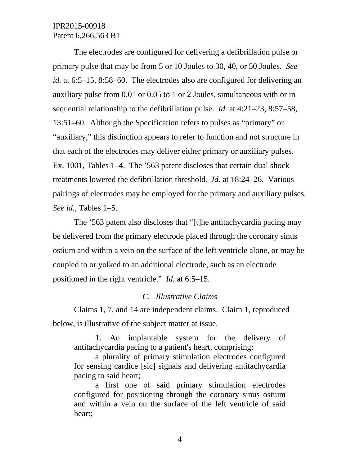The electrodes are configured for delivering a defibrillation pulse or primary pulse that may be from 5 or 10 Joules to 30, 40, or 50 Joules. *See id.* at 6:5–15, 8:58–60. The electrodes also are configured for delivering an auxiliary pulse from 0.01 or 0.05 to 1 or 2 Joules, simultaneous with or in sequential relationship to the defibrillation pulse. *Id.* at 4:21–23, 8:57–58, 13:51–60. Although the Specification refers to pulses as "primary" or "auxiliary," this distinction appears to refer to function and not structure in that each of the electrodes may deliver either primary or auxiliary pulses. Ex. 1001, Tables 1–4. The '563 patent discloses that certain dual shock treatments lowered the defibrillation threshold. *Id.* at 18:24–26. Various pairings of electrodes may be employed for the primary and auxiliary pulses. *See id.*, Tables 1–5.

The '563 patent also discloses that "[t]he antitachycardia pacing may be delivered from the primary electrode placed through the coronary sinus ostium and within a vein on the surface of the left ventricle alone, or may be coupled to or yolked to an additional electrode, such as an electrode positioned in the right ventricle." *Id.* at 6:5–15.

### *C. Illustrative Claims*

Claims 1, 7, and 14 are independent claims. Claim 1, reproduced below, is illustrative of the subject matter at issue.

1. An implantable system for the delivery of antitachycardia pacing to a patient's heart, comprising:

a plurality of primary stimulation electrodes configured for sensing cardice [sic] signals and delivering antitachycardia pacing to said heart;

a first one of said primary stimulation electrodes configured for positioning through the coronary sinus ostium and within a vein on the surface of the left ventricle of said heart;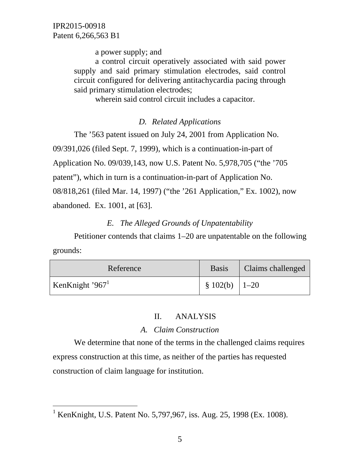$\overline{a}$ 

a power supply; and

a control circuit operatively associated with said power supply and said primary stimulation electrodes, said control circuit configured for delivering antitachycardia pacing through said primary stimulation electrodes;

wherein said control circuit includes a capacitor.

## *D. Related Applications*

The '563 patent issued on July 24, 2001 from Application No.

09/391,026 (filed Sept. 7, 1999), which is a continuation-in-part of

Application No. 09/039,143, now U.S. Patent No. 5,978,705 ("the '705

patent"), which in turn is a continuation-in-part of Application No.

08/818,261 (filed Mar. 14, 1997) ("the '261 Application," Ex. 1002), now abandoned. Ex. 1001, at [63].

# *E. The Alleged Grounds of Unpatentability*

Petitioner contends that claims 1–20 are unpatentable on the following grounds:

| Reference                   | <b>Basis</b>       | Claims challenged |
|-----------------------------|--------------------|-------------------|
| KenKnight '967 <sup>1</sup> | $\S$ 102(b)   1–20 |                   |

# II. ANALYSIS

# *A. Claim Construction*

We determine that none of the terms in the challenged claims requires express construction at this time, as neither of the parties has requested construction of claim language for institution.

<sup>&</sup>lt;sup>1</sup> KenKnight, U.S. Patent No. 5,797,967, iss. Aug. 25, 1998 (Ex. 1008).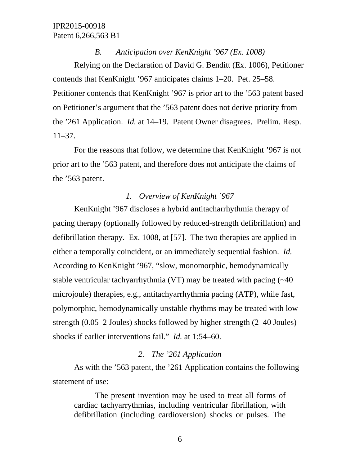*B. Anticipation over KenKnight '967 (Ex. 1008)*  Relying on the Declaration of David G. Benditt (Ex. 1006), Petitioner contends that KenKnight '967 anticipates claims 1–20. Pet. 25–58. Petitioner contends that KenKnight '967 is prior art to the '563 patent based on Petitioner's argument that the '563 patent does not derive priority from the '261 Application. *Id.* at 14–19. Patent Owner disagrees. Prelim. Resp. 11–37.

For the reasons that follow, we determine that KenKnight '967 is not prior art to the '563 patent, and therefore does not anticipate the claims of the '563 patent.

### *1. Overview of KenKnight '967*

KenKnight '967 discloses a hybrid antitacharrhythmia therapy of pacing therapy (optionally followed by reduced-strength defibrillation) and defibrillation therapy. Ex. 1008, at [57]. The two therapies are applied in either a temporally coincident, or an immediately sequential fashion. *Id.*  According to KenKnight '967, "slow, monomorphic, hemodynamically stable ventricular tachyarrhythmia (VT) may be treated with pacing (~40 microjoule) therapies, e.g., antitachyarrhythmia pacing (ATP), while fast, polymorphic, hemodynamically unstable rhythms may be treated with low strength (0.05–2 Joules) shocks followed by higher strength (2–40 Joules) shocks if earlier interventions fail." *Id.* at 1:54–60.

### *2. The '261 Application*

As with the '563 patent, the '261 Application contains the following statement of use:

The present invention may be used to treat all forms of cardiac tachyarrythmias, including ventricular fibrillation, with defibrillation (including cardioversion) shocks or pulses. The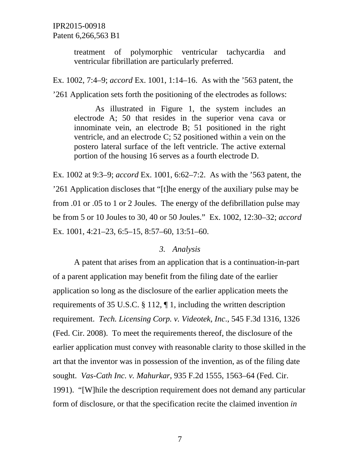treatment of polymorphic ventricular tachycardia and ventricular fibrillation are particularly preferred.

Ex. 1002, 7:4–9; *accord* Ex. 1001, 1:14–16. As with the '563 patent, the '261 Application sets forth the positioning of the electrodes as follows:

As illustrated in Figure 1, the system includes an electrode A; 50 that resides in the superior vena cava or innominate vein, an electrode B; 51 positioned in the right ventricle, and an electrode C; 52 positioned within a vein on the postero lateral surface of the left ventricle. The active external portion of the housing 16 serves as a fourth electrode D.

Ex. 1002 at 9:3–9; *accord* Ex. 1001, 6:62–7:2. As with the '563 patent, the '261 Application discloses that "[t]he energy of the auxiliary pulse may be from .01 or .05 to 1 or 2 Joules. The energy of the defibrillation pulse may be from 5 or 10 Joules to 30, 40 or 50 Joules." Ex. 1002, 12:30–32; *accord* Ex. 1001, 4:21–23, 6:5–15, 8:57–60, 13:51–60.

#### *3. Analysis*

A patent that arises from an application that is a continuation-in-part of a parent application may benefit from the filing date of the earlier application so long as the disclosure of the earlier application meets the requirements of 35 U.S.C. § 112, ¶ 1, including the written description requirement. *Tech. Licensing Corp. v. Videotek, Inc*., 545 F.3d 1316, 1326 (Fed. Cir. 2008). To meet the requirements thereof, the disclosure of the earlier application must convey with reasonable clarity to those skilled in the art that the inventor was in possession of the invention, as of the filing date sought. *Vas-Cath Inc. v. Mahurkar*, 935 F.2d 1555, 1563–64 (Fed. Cir. 1991). "[W]hile the description requirement does not demand any particular form of disclosure, or that the specification recite the claimed invention *in*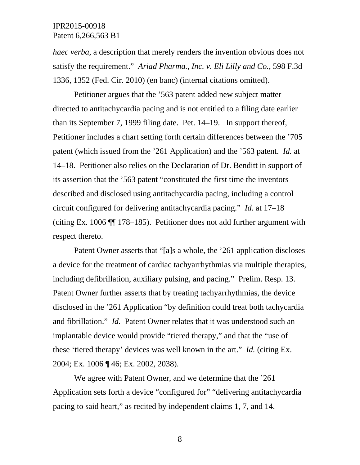*haec verba*, a description that merely renders the invention obvious does not satisfy the requirement." *Ariad Pharma., Inc. v. Eli Lilly and Co.*, 598 F.3d 1336, 1352 (Fed. Cir. 2010) (en banc) (internal citations omitted).

Petitioner argues that the '563 patent added new subject matter directed to antitachycardia pacing and is not entitled to a filing date earlier than its September 7, 1999 filing date. Pet. 14–19. In support thereof, Petitioner includes a chart setting forth certain differences between the '705 patent (which issued from the '261 Application) and the '563 patent. *Id.* at 14–18. Petitioner also relies on the Declaration of Dr. Benditt in support of its assertion that the '563 patent "constituted the first time the inventors described and disclosed using antitachycardia pacing, including a control circuit configured for delivering antitachycardia pacing." *Id.* at 17–18 (citing Ex. 1006 ¶¶ 178–185). Petitioner does not add further argument with respect thereto.

Patent Owner asserts that "[a]s a whole, the '261 application discloses a device for the treatment of cardiac tachyarrhythmias via multiple therapies, including defibrillation, auxiliary pulsing, and pacing." Prelim. Resp. 13. Patent Owner further asserts that by treating tachyarrhythmias, the device disclosed in the '261 Application "by definition could treat both tachycardia and fibrillation." *Id.* Patent Owner relates that it was understood such an implantable device would provide "tiered therapy," and that the "use of these 'tiered therapy' devices was well known in the art." *Id.* (citing Ex. 2004; Ex. 1006 ¶ 46; Ex. 2002, 2038).

We agree with Patent Owner, and we determine that the '261 Application sets forth a device "configured for" "delivering antitachycardia pacing to said heart," as recited by independent claims 1, 7, and 14.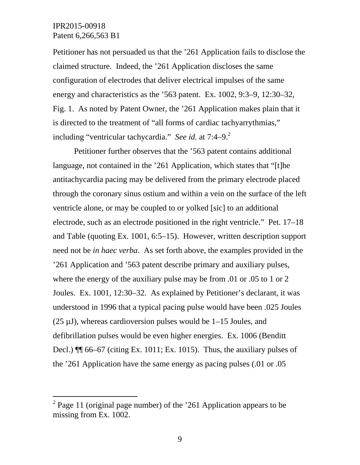-

Petitioner has not persuaded us that the '261 Application fails to disclose the claimed structure. Indeed, the '261 Application discloses the same configuration of electrodes that deliver electrical impulses of the same energy and characteristics as the '563 patent. Ex. 1002, 9:3–9, 12:30–32, Fig. 1. As noted by Patent Owner, the '261 Application makes plain that it is directed to the treatment of "all forms of cardiac tachyarrythmias," including "ventricular tachycardia." *See id.* at 7:4–9.<sup>2</sup>

Petitioner further observes that the '563 patent contains additional language, not contained in the '261 Application, which states that "[t]he antitachycardia pacing may be delivered from the primary electrode placed through the coronary sinus ostium and within a vein on the surface of the left ventricle alone, or may be coupled to or yolked [sic] to an additional electrode, such as an electrode positioned in the right ventricle." Pet. 17–18 and Table (quoting Ex. 1001, 6:5–15). However, written description support need not be *in haec verba*. As set forth above, the examples provided in the '261 Application and '563 patent describe primary and auxiliary pulses, where the energy of the auxiliary pulse may be from .01 or .05 to 1 or 2 Joules. Ex. 1001*,* 12:30–32. As explained by Petitioner's declarant, it was understood in 1996 that a typical pacing pulse would have been .025 Joules  $(25 \mu J)$ , whereas cardioversion pulses would be 1–15 Joules, and defibrillation pulses would be even higher energies. Ex. 1006 (Benditt Decl.)  $\P$  66–67 (citing Ex. 1011; Ex. 1015). Thus, the auxiliary pulses of the '261 Application have the same energy as pacing pulses (.01 or .05

<sup>&</sup>lt;sup>2</sup> Page 11 (original page number) of the '261 Application appears to be missing from Ex. 1002.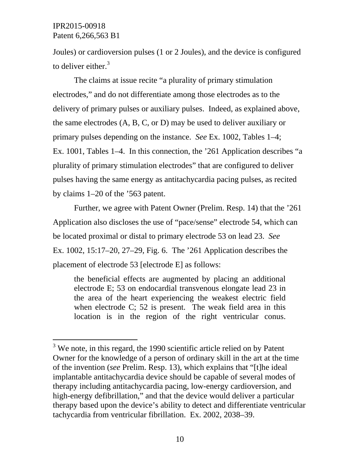l

Joules) or cardioversion pulses (1 or 2 Joules), and the device is configured to deliver either. $3$ 

The claims at issue recite "a plurality of primary stimulation electrodes," and do not differentiate among those electrodes as to the delivery of primary pulses or auxiliary pulses. Indeed, as explained above, the same electrodes (A, B, C, or D) may be used to deliver auxiliary or primary pulses depending on the instance. *See* Ex. 1002, Tables 1–4; Ex. 1001, Tables 1–4. In this connection, the '261 Application describes "a plurality of primary stimulation electrodes" that are configured to deliver pulses having the same energy as antitachycardia pacing pulses, as recited by claims 1–20 of the '563 patent.

Further, we agree with Patent Owner (Prelim. Resp. 14) that the '261 Application also discloses the use of "pace/sense" electrode 54, which can be located proximal or distal to primary electrode 53 on lead 23. *See* Ex. 1002, 15:17–20, 27–29, Fig. 6. The '261 Application describes the placement of electrode 53 [electrode E] as follows:

the beneficial effects are augmented by placing an additional electrode E; 53 on endocardial transvenous elongate lead 23 in the area of the heart experiencing the weakest electric field when electrode C; 52 is present. The weak field area in this location is in the region of the right ventricular conus.

 $3$  We note, in this regard, the 1990 scientific article relied on by Patent Owner for the knowledge of a person of ordinary skill in the art at the time of the invention (*see* Prelim. Resp. 13), which explains that "[t]he ideal implantable antitachycardia device should be capable of several modes of therapy including antitachycardia pacing, low-energy cardioversion, and high-energy defibrillation," and that the device would deliver a particular therapy based upon the device's ability to detect and differentiate ventricular tachycardia from ventricular fibrillation. Ex. 2002, 2038–39.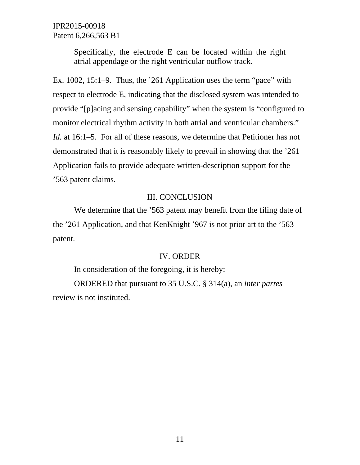> Specifically, the electrode E can be located within the right atrial appendage or the right ventricular outflow track.

Ex. 1002, 15:1–9. Thus, the '261 Application uses the term "pace" with respect to electrode E, indicating that the disclosed system was intended to provide "[p]acing and sensing capability" when the system is "configured to monitor electrical rhythm activity in both atrial and ventricular chambers." *Id.* at 16:1–5. For all of these reasons, we determine that Petitioner has not demonstrated that it is reasonably likely to prevail in showing that the '261 Application fails to provide adequate written-description support for the '563 patent claims.

### III. CONCLUSION

We determine that the '563 patent may benefit from the filing date of the '261 Application, and that KenKnight '967 is not prior art to the '563 patent.

#### IV. ORDER

In consideration of the foregoing, it is hereby:

ORDERED that pursuant to 35 U.S.C. § 314(a), an *inter partes* review is not instituted.